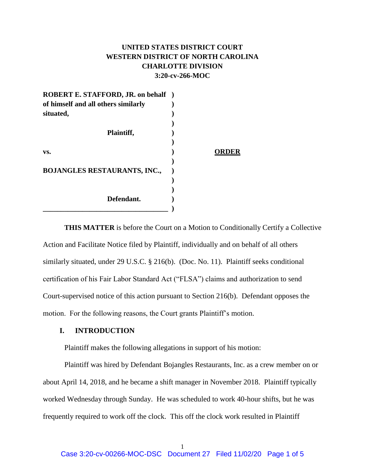# **UNITED STATES DISTRICT COURT WESTERN DISTRICT OF NORTH CAROLINA CHARLOTTE DIVISION 3:20-cv-266-MOC**

| <b>ROBERT E. STAFFORD, JR. on behalf</b> ) |       |
|--------------------------------------------|-------|
| of himself and all others similarly        |       |
| situated,                                  |       |
|                                            |       |
| Plaintiff,                                 |       |
|                                            |       |
| VS.                                        | ORDER |
|                                            |       |
| <b>BOJANGLES RESTAURANTS, INC.,</b>        |       |
|                                            |       |
|                                            |       |
| Defendant.                                 |       |
|                                            |       |

**THIS MATTER** is before the Court on a Motion to Conditionally Certify a Collective Action and Facilitate Notice filed by Plaintiff, individually and on behalf of all others similarly situated, under 29 U.S.C. § 216(b). (Doc. No. 11). Plaintiff seeks conditional certification of his Fair Labor Standard Act ("FLSA") claims and authorization to send Court-supervised notice of this action pursuant to Section 216(b). Defendant opposes the motion. For the following reasons, the Court grants Plaintiff's motion.

## **I. INTRODUCTION**

Plaintiff makes the following allegations in support of his motion:

Plaintiff was hired by Defendant Bojangles Restaurants, Inc. as a crew member on or about April 14, 2018, and he became a shift manager in November 2018. Plaintiff typically worked Wednesday through Sunday. He was scheduled to work 40-hour shifts, but he was frequently required to work off the clock. This off the clock work resulted in Plaintiff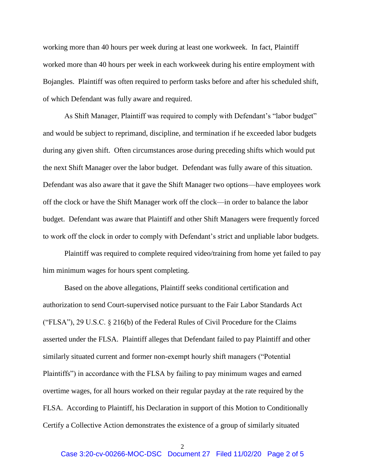working more than 40 hours per week during at least one workweek. In fact, Plaintiff worked more than 40 hours per week in each workweek during his entire employment with Bojangles. Plaintiff was often required to perform tasks before and after his scheduled shift, of which Defendant was fully aware and required.

As Shift Manager, Plaintiff was required to comply with Defendant's "labor budget" and would be subject to reprimand, discipline, and termination if he exceeded labor budgets during any given shift. Often circumstances arose during preceding shifts which would put the next Shift Manager over the labor budget. Defendant was fully aware of this situation. Defendant was also aware that it gave the Shift Manager two options—have employees work off the clock or have the Shift Manager work off the clock—in order to balance the labor budget. Defendant was aware that Plaintiff and other Shift Managers were frequently forced to work off the clock in order to comply with Defendant's strict and unpliable labor budgets.

Plaintiff was required to complete required video/training from home yet failed to pay him minimum wages for hours spent completing.

Based on the above allegations, Plaintiff seeks conditional certification and authorization to send Court-supervised notice pursuant to the Fair Labor Standards Act ("FLSA"), 29 U.S.C. § 216(b) of the Federal Rules of Civil Procedure for the Claims asserted under the FLSA. Plaintiff alleges that Defendant failed to pay Plaintiff and other similarly situated current and former non-exempt hourly shift managers ("Potential Plaintiffs") in accordance with the FLSA by failing to pay minimum wages and earned overtime wages, for all hours worked on their regular payday at the rate required by the FLSA. According to Plaintiff, his Declaration in support of this Motion to Conditionally Certify a Collective Action demonstrates the existence of a group of similarly situated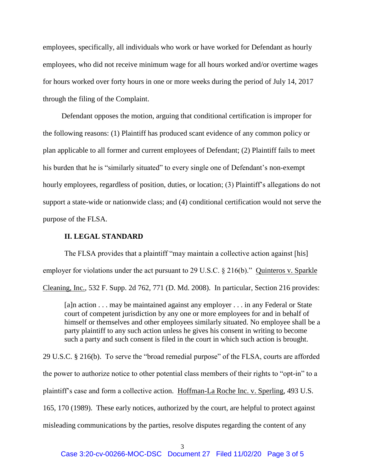employees, specifically, all individuals who work or have worked for Defendant as hourly employees, who did not receive minimum wage for all hours worked and/or overtime wages for hours worked over forty hours in one or more weeks during the period of July 14, 2017 through the filing of the Complaint.

 Defendant opposes the motion, arguing that conditional certification is improper for the following reasons: (1) Plaintiff has produced scant evidence of any common policy or plan applicable to all former and current employees of Defendant; (2) Plaintiff fails to meet his burden that he is "similarly situated" to every single one of Defendant's non-exempt hourly employees, regardless of position, duties, or location; (3) Plaintiff's allegations do not support a state-wide or nationwide class; and (4) conditional certification would not serve the purpose of the FLSA.

# **II. LEGAL STANDARD**

The FLSA provides that a plaintiff "may maintain a collective action against [his] employer for violations under the act pursuant to 29 U.S.C. § 216(b)." Quinteros v. Sparkle Cleaning, Inc., 532 F. Supp. 2d 762, 771 (D. Md. 2008). In particular, Section 216 provides:

[a]n action . . . may be maintained against any employer . . . in any Federal or State court of competent jurisdiction by any one or more employees for and in behalf of himself or themselves and other employees similarly situated. No employee shall be a party plaintiff to any such action unless he gives his consent in writing to become such a party and such consent is filed in the court in which such action is brought.

29 U.S.C. § 216(b). To serve the "broad remedial purpose" of the FLSA, courts are afforded the power to authorize notice to other potential class members of their rights to "opt-in" to a plaintiff's case and form a collective action. Hoffman-La Roche Inc. v. Sperling*,* 493 U.S. 165, 170 (1989). These early notices, authorized by the court, are helpful to protect against misleading communications by the parties, resolve disputes regarding the content of any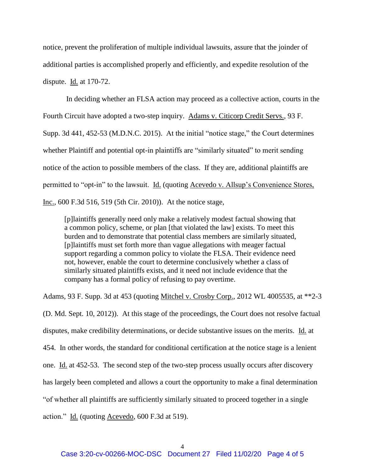notice, prevent the proliferation of multiple individual lawsuits, assure that the joinder of additional parties is accomplished properly and efficiently, and expedite resolution of the dispute. Id. at 170-72.

In deciding whether an FLSA action may proceed as a collective action, courts in the Fourth Circuit have adopted a two-step inquiry. Adams v. Citicorp Credit Servs., 93 F. Supp. 3d 441, 452-53 (M.D.N.C. 2015). At the initial "notice stage," the Court determines whether Plaintiff and potential opt-in plaintiffs are "similarly situated" to merit sending notice of the action to possible members of the class. If they are, additional plaintiffs are permitted to "opt-in" to the lawsuit. Id. (quoting Acevedo v. Allsup's Convenience Stores, Inc.*,* 600 F.3d 516, 519 (5th Cir. 2010)). At the notice stage,

[p]laintiffs generally need only make a relatively modest factual showing that a common policy, scheme, or plan [that violated the law] exists. To meet this burden and to demonstrate that potential class members are similarly situated, [p]laintiffs must set forth more than vague allegations with meager factual support regarding a common policy to violate the FLSA. Their evidence need not, however, enable the court to determine conclusively whether a class of similarly situated plaintiffs exists, and it need not include evidence that the company has a formal policy of refusing to pay overtime.

Adams, 93 F. Supp. 3d at 453 (quoting Mitchel v. Crosby Corp., 2012 WL 4005535, at \*\*2-3 (D. Md. Sept. 10, 2012)). At this stage of the proceedings, the Court does not resolve factual disputes, make credibility determinations, or decide substantive issues on the merits. Id. at 454. In other words, the standard for conditional certification at the notice stage is a lenient one. Id. at 452-53. The second step of the two-step process usually occurs after discovery has largely been completed and allows a court the opportunity to make a final determination "of whether all plaintiffs are sufficiently similarly situated to proceed together in a single

action." Id. (quoting Acevedo, 600 F.3d at 519).